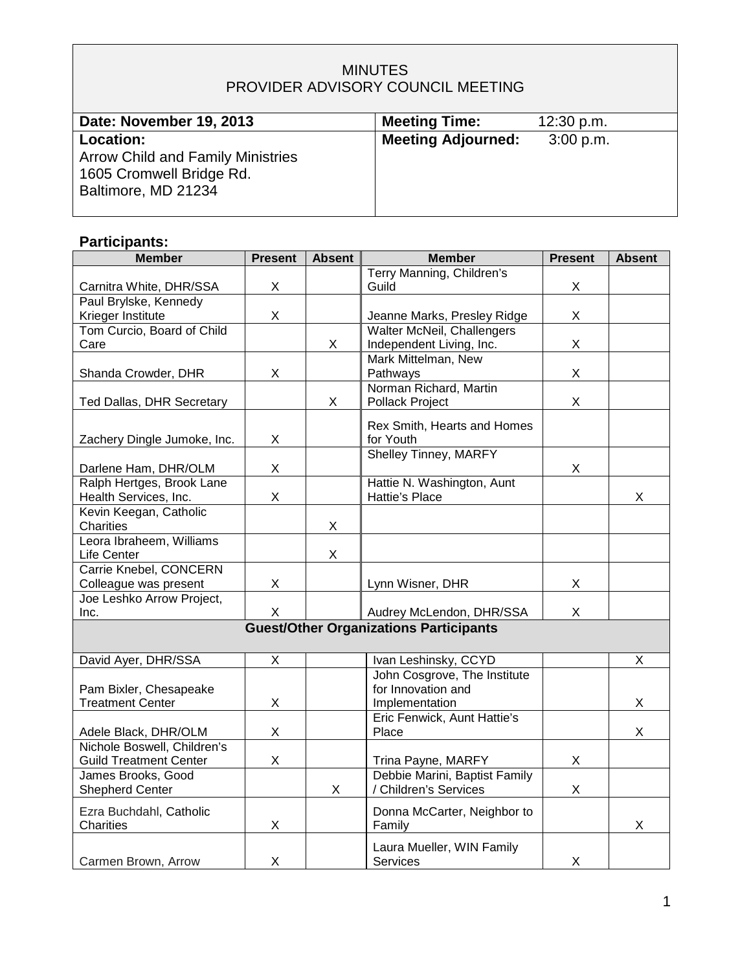# MINUTES PROVIDER ADVISORY COUNCIL MEETING

| Date: November 19, 2013                                                                                         | <b>Meeting Time:</b>      | 12:30 p.m. |
|-----------------------------------------------------------------------------------------------------------------|---------------------------|------------|
| <b>Location:</b><br><b>Arrow Child and Family Ministries</b><br>1605 Cromwell Bridge Rd.<br>Baltimore, MD 21234 | <b>Meeting Adjourned:</b> | 3:00 p.m.  |
|                                                                                                                 |                           |            |

# **Participants:**

| <b>Member</b>                 | <b>Present</b> | <b>Absent</b> | <b>Member</b>                                 | <b>Present</b> | <b>Absent</b> |
|-------------------------------|----------------|---------------|-----------------------------------------------|----------------|---------------|
|                               |                |               | Terry Manning, Children's                     |                |               |
| Carnitra White, DHR/SSA       | X              |               | Guild                                         | X              |               |
| Paul Brylske, Kennedy         |                |               |                                               |                |               |
| Krieger Institute             | X              |               | Jeanne Marks, Presley Ridge                   | X              |               |
| Tom Curcio, Board of Child    |                |               | Walter McNeil, Challengers                    |                |               |
| Care                          |                | X             | Independent Living, Inc.                      | X              |               |
|                               |                |               | Mark Mittelman, New                           |                |               |
| Shanda Crowder, DHR           | X              |               | Pathways                                      | X              |               |
|                               |                |               | Norman Richard, Martin                        |                |               |
| Ted Dallas, DHR Secretary     |                | X             | Pollack Project                               | X              |               |
|                               |                |               | Rex Smith, Hearts and Homes                   |                |               |
| Zachery Dingle Jumoke, Inc.   | X              |               | for Youth                                     |                |               |
|                               |                |               | <b>Shelley Tinney, MARFY</b>                  |                |               |
| Darlene Ham, DHR/OLM          | X              |               |                                               | X              |               |
| Ralph Hertges, Brook Lane     |                |               | Hattie N. Washington, Aunt                    |                |               |
| Health Services, Inc.         | $\mathsf{X}$   |               | Hattie's Place                                |                | X             |
| Kevin Keegan, Catholic        |                |               |                                               |                |               |
| Charities                     |                | X             |                                               |                |               |
| Leora Ibraheem, Williams      |                |               |                                               |                |               |
| Life Center                   |                | $\mathsf X$   |                                               |                |               |
| Carrie Knebel, CONCERN        |                |               |                                               |                |               |
| Colleague was present         | X              |               | Lynn Wisner, DHR                              | X              |               |
| Joe Leshko Arrow Project,     |                |               |                                               |                |               |
| Inc.                          | X              |               | Audrey McLendon, DHR/SSA                      | X              |               |
|                               |                |               | <b>Guest/Other Organizations Participants</b> |                |               |
|                               |                |               |                                               |                |               |
| David Ayer, DHR/SSA           | X              |               | Ivan Leshinsky, CCYD                          |                | X             |
|                               |                |               | John Cosgrove, The Institute                  |                |               |
| Pam Bixler, Chesapeake        |                |               | for Innovation and                            |                |               |
| <b>Treatment Center</b>       | X              |               | Implementation                                |                | X.            |
|                               |                |               | Eric Fenwick, Aunt Hattie's                   |                |               |
| Adele Black, DHR/OLM          | X              |               | Place                                         |                | X             |
| Nichole Boswell, Children's   |                |               |                                               |                |               |
| <b>Guild Treatment Center</b> | X              |               | Trina Payne, MARFY                            | X              |               |
| James Brooks, Good            |                |               | Debbie Marini, Baptist Family                 |                |               |
| <b>Shepherd Center</b>        |                | X             | / Children's Services                         | X              |               |
| Ezra Buchdahl, Catholic       |                |               | Donna McCarter, Neighbor to                   |                |               |
| Charities                     | X              |               | Family                                        |                | X             |
|                               |                |               |                                               |                |               |
|                               |                |               | Laura Mueller, WIN Family                     |                |               |
| Carmen Brown, Arrow           | X              |               | <b>Services</b>                               | X              |               |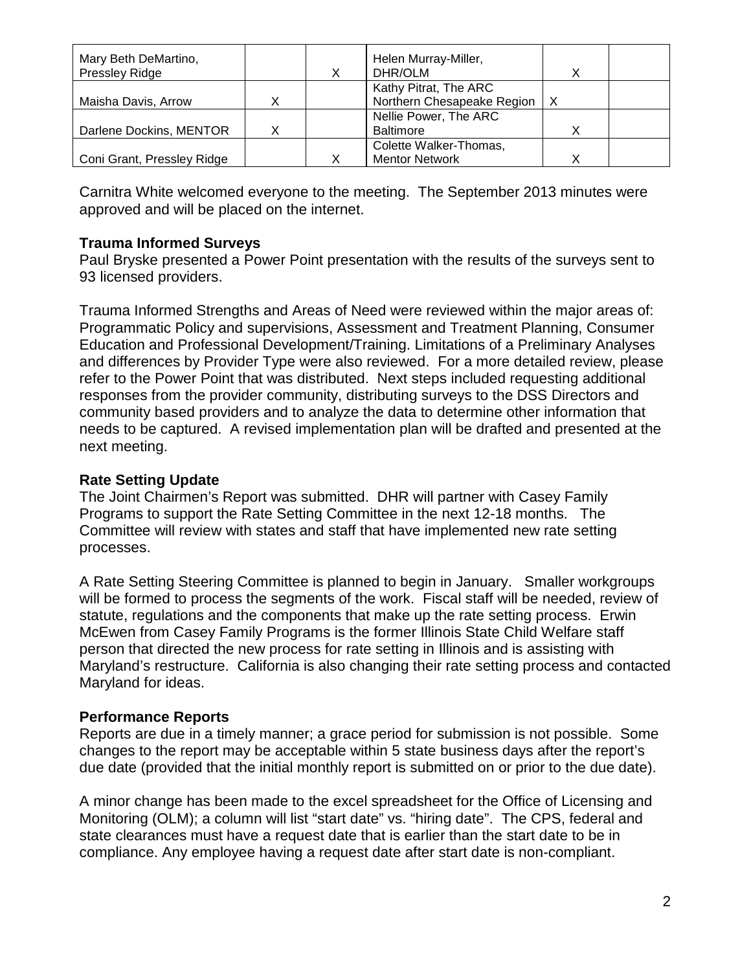| Mary Beth DeMartino,       |  | Helen Murray-Miller,       |   |  |
|----------------------------|--|----------------------------|---|--|
| Pressley Ridge             |  | DHR/OLM                    |   |  |
|                            |  | Kathy Pitrat, The ARC      |   |  |
| Maisha Davis, Arrow        |  | Northern Chesapeake Region | X |  |
|                            |  | Nellie Power, The ARC      |   |  |
| Darlene Dockins, MENTOR    |  | <b>Baltimore</b>           |   |  |
|                            |  | Colette Walker-Thomas,     |   |  |
| Coni Grant, Pressley Ridge |  | <b>Mentor Network</b>      |   |  |

Carnitra White welcomed everyone to the meeting. The September 2013 minutes were approved and will be placed on the internet.

#### **Trauma Informed Surveys**

Paul Bryske presented a Power Point presentation with the results of the surveys sent to 93 licensed providers.

Trauma Informed Strengths and Areas of Need were reviewed within the major areas of: Programmatic Policy and supervisions, Assessment and Treatment Planning, Consumer Education and Professional Development/Training. Limitations of a Preliminary Analyses and differences by Provider Type were also reviewed. For a more detailed review, please refer to the Power Point that was distributed. Next steps included requesting additional responses from the provider community, distributing surveys to the DSS Directors and community based providers and to analyze the data to determine other information that needs to be captured. A revised implementation plan will be drafted and presented at the next meeting.

## **Rate Setting Update**

The Joint Chairmen's Report was submitted. DHR will partner with Casey Family Programs to support the Rate Setting Committee in the next 12-18 months. The Committee will review with states and staff that have implemented new rate setting processes.

A Rate Setting Steering Committee is planned to begin in January. Smaller workgroups will be formed to process the segments of the work. Fiscal staff will be needed, review of statute, regulations and the components that make up the rate setting process. Erwin McEwen from Casey Family Programs is the former Illinois State Child Welfare staff person that directed the new process for rate setting in Illinois and is assisting with Maryland's restructure. California is also changing their rate setting process and contacted Maryland for ideas.

## **Performance Reports**

Reports are due in a timely manner; a grace period for submission is not possible. Some changes to the report may be acceptable within 5 state business days after the report's due date (provided that the initial monthly report is submitted on or prior to the due date).

A minor change has been made to the excel spreadsheet for the Office of Licensing and Monitoring (OLM); a column will list "start date" vs. "hiring date". The CPS, federal and state clearances must have a request date that is earlier than the start date to be in compliance. Any employee having a request date after start date is non-compliant.